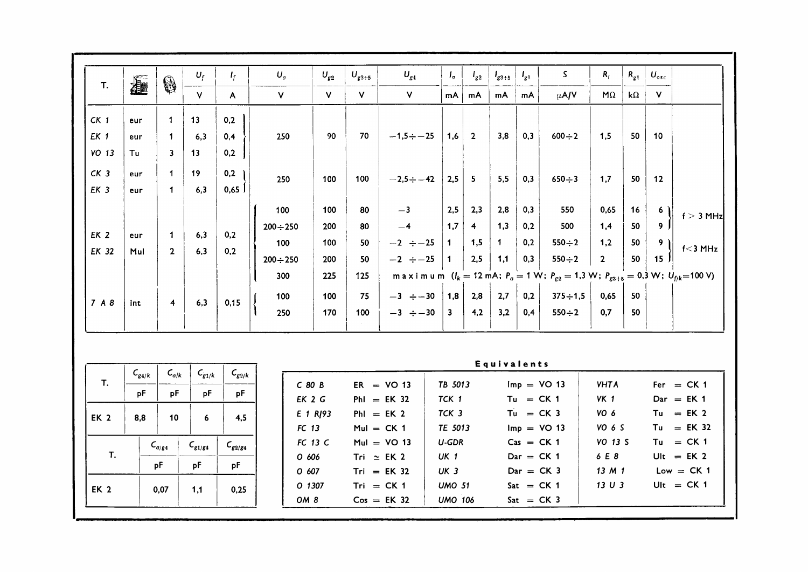|             | $U_{osc}$       | $R_{g1}$   | $R_i$          | S.                                                                                                                           | $I_{g1}$ | $I_{g3+5}$   | $I_{g2}$             | $I_{\sigma}$         | $U_{g4}$        | $U_{g3+5}$   | $U_{g2}$ | $U_a$            | ı,           | $U_f$        | 0                       | 蠢   | T.              |
|-------------|-----------------|------------|----------------|------------------------------------------------------------------------------------------------------------------------------|----------|--------------|----------------------|----------------------|-----------------|--------------|----------|------------------|--------------|--------------|-------------------------|-----|-----------------|
|             | V               | k $\Omega$ | $M\Omega$      | $\mu$ A/V                                                                                                                    | mA       | mA           | mA                   | mA                   | $\mathsf{V}$    | $\mathsf{V}$ | $\vee$   | $\mathsf{v}$     | $\mathsf{A}$ | $\mathsf{V}$ |                         |     |                 |
|             |                 |            |                |                                                                                                                              |          |              |                      |                      |                 |              |          |                  | 0,2          | 13           | $\mathbf{1}$            | eur | CK <sub>1</sub> |
|             | 10              | 50         | 1,5            | $600 \div 2$                                                                                                                 | 0,3      | 3,8          | $\overline{2}$       | 1,6                  | $-1,5 \div -25$ | 70           | 90       | 250              | 0,4          | 6,3          | $\mathbf{1}$            | eur | EK 1            |
|             |                 |            |                |                                                                                                                              |          |              |                      |                      |                 |              |          |                  | 0,2          | 13           | $\overline{\mathbf{3}}$ | Tu  | VO 13           |
|             | 12              | 50         | 1,7            | $650 \div 3$                                                                                                                 | 0,3      | 5,5          | 5                    | 2,5                  | $-2,5 \div -42$ | 100          | 100      | 250              | 0,2          | 19           | 1                       | eur | CK <sub>3</sub> |
|             |                 |            |                |                                                                                                                              |          |              |                      |                      |                 |              |          |                  | 0,65         | 6,3          | $\mathbf{1}$            | eur | EK 3            |
| $f > 3$ MHz | 6)              | 16         | 0,65           | 550                                                                                                                          | 0,3      | 2,8          | 2,3                  | 2,5                  | $-3$            | 80           | 100      | 100              |              |              |                         |     |                 |
|             | $9-1$           | 50         | 1,4            | 500                                                                                                                          | 0,2      | 1,3          | $\blacktriangleleft$ | 1,7                  | $-4$            | 80           | 200      | $200 \div 250$   |              |              |                         |     |                 |
| $f<$ 3 MHz  | 9)              | 50         | 1,2            | $550 \div 2$                                                                                                                 | 0,2      | $\mathbf{1}$ | 1,5                  | 1                    | $-2 \div -25$   | 50           | 100      | 100              | 0,2          | 6,3          | $\mathbf 1$             | eur | EK <sub>2</sub> |
|             | 15 <sup>1</sup> | 50         | $\overline{2}$ | $550 \div 2$                                                                                                                 | 0,3      | 1,1          | 2,5                  | $\blacktriangleleft$ | $-2 \div -25$   | 50           | 200      | $200 \div 250$   | 0,2          | 6,3          | 2 <sup>1</sup>          | Mul | EK 32           |
|             |                 |            |                | maximum $(I_k = 12 \text{ mA}; P_a = 1 \text{ W}; P_{g2} = 1,3 \text{ W}; P_{g3+5} = 0,3 \text{ W}; U_{fjk} = 100 \text{ V}$ |          |              |                      |                      |                 | 125          | 225      | 300              |              |              |                         |     |                 |
|             |                 | 50         | 0,65           | $375 \div 1,5$                                                                                                               | 0,2      | 2,7          | 2,8                  | 1,8                  | $-3 \div -30$   | 75           | 100      | 100 <sub>1</sub> |              |              |                         |     |                 |
|             |                 | 50         | 0,7            | $550 \div 2$                                                                                                                 | 0,4      | 3,2          | 4,2                  | 3                    | $-3 \div -30$   | 100          | 170      | 250              | 0,15         | 6,3          | $\overline{4}$          | int | 7A8             |

| Τ.   | $C_{g4/k}$ | $\mathsf{C}_{a/\mathsf{k}}$ | $C_{g1/k}$  | $C_{g2/k}$  |
|------|------------|-----------------------------|-------------|-------------|
|      | pF         | pF                          | pF          | pF          |
| EK 2 | 8,8        | 10                          | 6           | 4.5         |
|      |            |                             |             |             |
|      |            | $C_{q/g4}$                  | $C_{g1/g4}$ | $C_{g2/g4}$ |
| T.   |            |                             |             |             |
|      |            | pF                          | pF          | pF          |
| EK 2 |            | 0.07                        | 1.1         | 0.25        |
|      |            |                             |             |             |